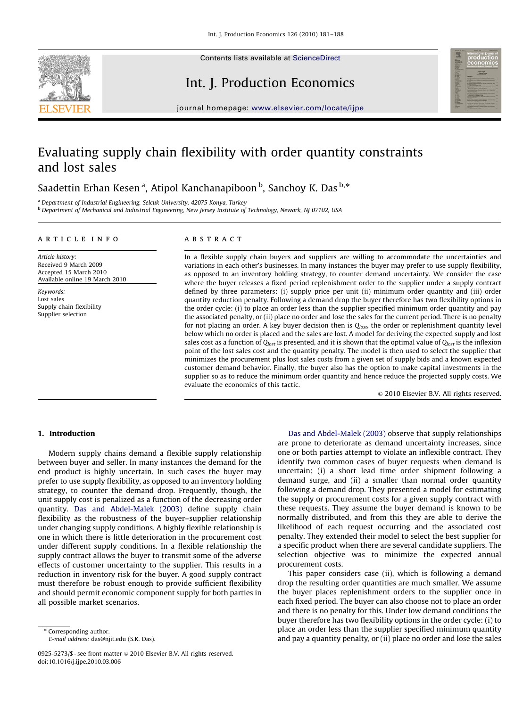

Contents lists available at ScienceDirect

# Int. J. Production Economics



journal homepage: <www.elsevier.com/locate/ijpe>

# Evaluating supply chain flexibility with order quantity constraints and lost sales

# Saadettin Erhan Kesen<sup>a</sup>, Atipol Kanchanapiboon<sup>b</sup>, Sanchoy K. Das<sup>b,</sup>\*

<sup>a</sup> Department of Industrial Engineering, Selcuk University, 42075 Konya, Turkey

<sup>b</sup> Department of Mechanical and Industrial Engineering, New Jersey Institute of Technology, Newark, NJ 07102, USA

### article info

Article history: Received 9 March 2009 Accepted 15 March 2010 Available online 19 March 2010

Keywords: Lost sales Supply chain flexibility Supplier selection

## ABSTRACT

In a flexible supply chain buyers and suppliers are willing to accommodate the uncertainties and variations in each other's businesses. In many instances the buyer may prefer to use supply flexibility, as opposed to an inventory holding strategy, to counter demand uncertainty. We consider the case where the buyer releases a fixed period replenishment order to the supplier under a supply contract defined by three parameters: (i) supply price per unit (ii) minimum order quantity and (iii) order quantity reduction penalty. Following a demand drop the buyer therefore has two flexibility options in the order cycle: (i) to place an order less than the supplier specified minimum order quantity and pay the associated penalty, or (ii) place no order and lose the sales for the current period. There is no penalty for not placing an order. A key buyer decision then is  $Q_{lost}$ , the order or replenishment quantity level below which no order is placed and the sales are lost. A model for deriving the expected supply and lost sales cost as a function of  $Q_{los}$  is presented, and it is shown that the optimal value of  $Q_{los}$  is the inflexion point of the lost sales cost and the quantity penalty. The model is then used to select the supplier that minimizes the procurement plus lost sales costs from a given set of supply bids and a known expected customer demand behavior. Finally, the buyer also has the option to make capital investments in the supplier so as to reduce the minimum order quantity and hence reduce the projected supply costs. We evaluate the economics of this tactic.

 $\odot$  2010 Elsevier B.V. All rights reserved.

### 1. Introduction

Modern supply chains demand a flexible supply relationship between buyer and seller. In many instances the demand for the end product is highly uncertain. In such cases the buyer may prefer to use supply flexibility, as opposed to an inventory holding strategy, to counter the demand drop. Frequently, though, the unit supply cost is penalized as a function of the decreasing order quantity. [Das and Abdel-Malek \(2003\)](#page--1-0) define supply chain flexibility as the robustness of the buyer–supplier relationship under changing supply conditions. A highly flexible relationship is one in which there is little deterioration in the procurement cost under different supply conditions. In a flexible relationship the supply contract allows the buyer to transmit some of the adverse effects of customer uncertainty to the supplier. This results in a reduction in inventory risk for the buyer. A good supply contract must therefore be robust enough to provide sufficient flexibility and should permit economic component supply for both parties in all possible market scenarios.

[Das and Abdel-Malek \(2003\)](#page--1-0) observe that supply relationships are prone to deteriorate as demand uncertainty increases, since one or both parties attempt to violate an inflexible contract. They identify two common cases of buyer requests when demand is uncertain: (i) a short lead time order shipment following a demand surge, and (ii) a smaller than normal order quantity following a demand drop. They presented a model for estimating the supply or procurement costs for a given supply contract with these requests. They assume the buyer demand is known to be normally distributed, and from this they are able to derive the likelihood of each request occurring and the associated cost penalty. They extended their model to select the best supplier for a specific product when there are several candidate suppliers. The selection objective was to minimize the expected annual procurement costs.

This paper considers case (ii), which is following a demand drop the resulting order quantities are much smaller. We assume the buyer places replenishment orders to the supplier once in each fixed period. The buyer can also choose not to place an order and there is no penalty for this. Under low demand conditions the buyer therefore has two flexibility options in the order cycle: (i) to place an order less than the supplier specified minimum quantity and pay a quantity penalty, or (ii) place no order and lose the sales

<sup>\*</sup> Corresponding author. E-mail address: [das@njit.edu \(S.K. Das\).](mailto:das@njit.edu)

<sup>0925-5273/\$ -</sup> see front matter  $\circ$  2010 Elsevier B.V. All rights reserved. doi:[10.1016/j.ijpe.2010.03.006](dx.doi.org/10.1016/j.ijpe.2010.03.006)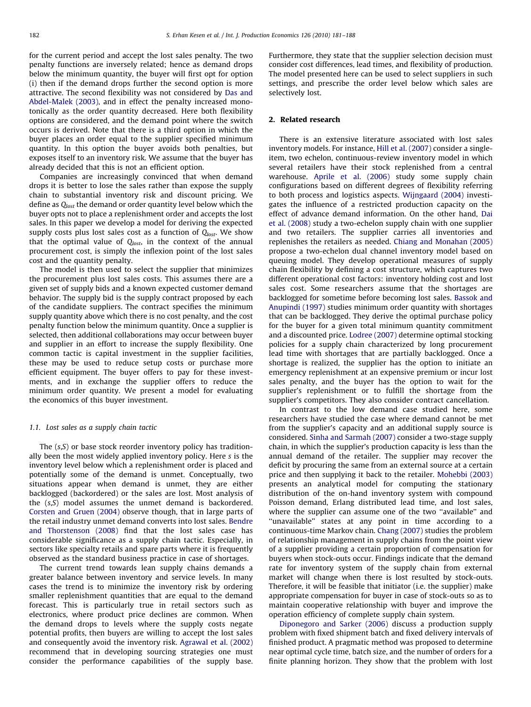for the current period and accept the lost sales penalty. The two penalty functions are inversely related; hence as demand drops below the minimum quantity, the buyer will first opt for option (i) then if the demand drops further the second option is more attractive. The second flexibility was not considered by [Das and](#page--1-0) [Abdel-Malek \(2003\)](#page--1-0), and in effect the penalty increased monotonically as the order quantity decreased. Here both flexibility options are considered, and the demand point where the switch occurs is derived. Note that there is a third option in which the buyer places an order equal to the supplier specified minimum quantity. In this option the buyer avoids both penalties, but exposes itself to an inventory risk. We assume that the buyer has already decided that this is not an efficient option.

Companies are increasingly convinced that when demand drops it is better to lose the sales rather than expose the supply chain to substantial inventory risk and discount pricing. We define as  $Q<sub>lost</sub>$  the demand or order quantity level below which the buyer opts not to place a replenishment order and accepts the lost sales. In this paper we develop a model for deriving the expected supply costs plus lost sales cost as a function of  $Q_{lost}$ . We show that the optimal value of  $Q_{lost}$ , in the context of the annual procurement cost, is simply the inflexion point of the lost sales cost and the quantity penalty.

The model is then used to select the supplier that minimizes the procurement plus lost sales costs. This assumes there are a given set of supply bids and a known expected customer demand behavior. The supply bid is the supply contract proposed by each of the candidate suppliers. The contract specifies the minimum supply quantity above which there is no cost penalty, and the cost penalty function below the minimum quantity. Once a supplier is selected, then additional collaborations may occur between buyer and supplier in an effort to increase the supply flexibility. One common tactic is capital investment in the supplier facilities, these may be used to reduce setup costs or purchase more efficient equipment. The buyer offers to pay for these investments, and in exchange the supplier offers to reduce the minimum order quantity. We present a model for evaluating the economics of this buyer investment.

#### 1.1. Lost sales as a supply chain tactic

The  $(s, S)$  or base stock reorder inventory policy has traditionally been the most widely applied inventory policy. Here s is the inventory level below which a replenishment order is placed and potentially some of the demand is unmet. Conceptually, two situations appear when demand is unmet, they are either backlogged (backordered) or the sales are lost. Most analysis of the (s,S) model assumes the unmet demand is backordered. [Corsten and Gruen \(2004\)](#page--1-0) observe though, that in large parts of the retail industry unmet demand converts into lost sales. [Bendre](#page--1-0) [and Thorstenson \(2008\)](#page--1-0) find that the lost sales case has considerable significance as a supply chain tactic. Especially, in sectors like specialty retails and spare parts where it is frequently observed as the standard business practice in case of shortages.

The current trend towards lean supply chains demands a greater balance between inventory and service levels. In many cases the trend is to minimize the inventory risk by ordering smaller replenishment quantities that are equal to the demand forecast. This is particularly true in retail sectors such as electronics, where product price declines are common. When the demand drops to levels where the supply costs negate potential profits, then buyers are willing to accept the lost sales and consequently avoid the inventory risk. [Agrawal et al. \(2002\)](#page--1-0) recommend that in developing sourcing strategies one must consider the performance capabilities of the supply base. Furthermore, they state that the supplier selection decision must consider cost differences, lead times, and flexibility of production. The model presented here can be used to select suppliers in such settings, and prescribe the order level below which sales are selectively lost.

### 2. Related research

There is an extensive literature associated with lost sales inventory models. For instance, [Hill et al. \(2007\)](#page--1-0) consider a singleitem, two echelon, continuous-review inventory model in which several retailers have their stock replenished from a central warehouse. [Aprile et al. \(2006\)](#page--1-0) study some supply chain configurations based on different degrees of flexibility referring to both process and logistics aspects. [Wijngaard \(2004\)](#page--1-0) investigates the influence of a restricted production capacity on the effect of advance demand information. On the other hand, [Dai](#page--1-0) [et al. \(2008\)](#page--1-0) study a two-echelon supply chain with one supplier and two retailers. The supplier carries all inventories and replenishes the retailers as needed. [Chiang and Monahan \(2005\)](#page--1-0) propose a two-echelon dual channel inventory model based on queuing model. They develop operational measures of supply chain flexibility by defining a cost structure, which captures two different operational cost factors: inventory holding cost and lost sales cost. Some researchers assume that the shortages are backlogged for sometime before becoming lost sales. [Bassok and](#page--1-0) [Anupindi \(1997\)](#page--1-0) studies minimum order quantity with shortages that can be backlogged. They derive the optimal purchase policy for the buyer for a given total minimum quantity commitment and a discounted price. [Lodree \(2007\)](#page--1-0) determine optimal stocking policies for a supply chain characterized by long procurement lead time with shortages that are partially backlogged. Once a shortage is realized, the supplier has the option to initiate an emergency replenishment at an expensive premium or incur lost sales penalty, and the buyer has the option to wait for the supplier's replenishment or to fulfill the shortage from the supplier's competitors. They also consider contract cancellation.

In contrast to the low demand case studied here, some researchers have studied the case where demand cannot be met from the supplier's capacity and an additional supply source is considered. [Sinha and Sarmah \(2007\)](#page--1-0) consider a two-stage supply chain, in which the supplier's production capacity is less than the annual demand of the retailer. The supplier may recover the deficit by procuring the same from an external source at a certain price and then supplying it back to the retailer. [Mohebbi \(2003\)](#page--1-0) presents an analytical model for computing the stationary distribution of the on-hand inventory system with compound Poisson demand, Erlang distributed lead time, and lost sales, where the supplier can assume one of the two ''available'' and ''unavailable'' states at any point in time according to a continuous-time Markov chain. [Chang \(2007\)](#page--1-0) studies the problem of relationship management in supply chains from the point view of a supplier providing a certain proportion of compensation for buyers when stock-outs occur. Findings indicate that the demand rate for inventory system of the supply chain from external market will change when there is lost resulted by stock-outs. Therefore, it will be feasible that initiator (i.e. the supplier) make appropriate compensation for buyer in case of stock-outs so as to maintain cooperative relationship with buyer and improve the operation efficiency of complete supply chain system.

[Diponegoro and Sarker \(2006\)](#page--1-0) discuss a production supply problem with fixed shipment batch and fixed delivery intervals of finished product. A pragmatic method was proposed to determine near optimal cycle time, batch size, and the number of orders for a finite planning horizon. They show that the problem with lost